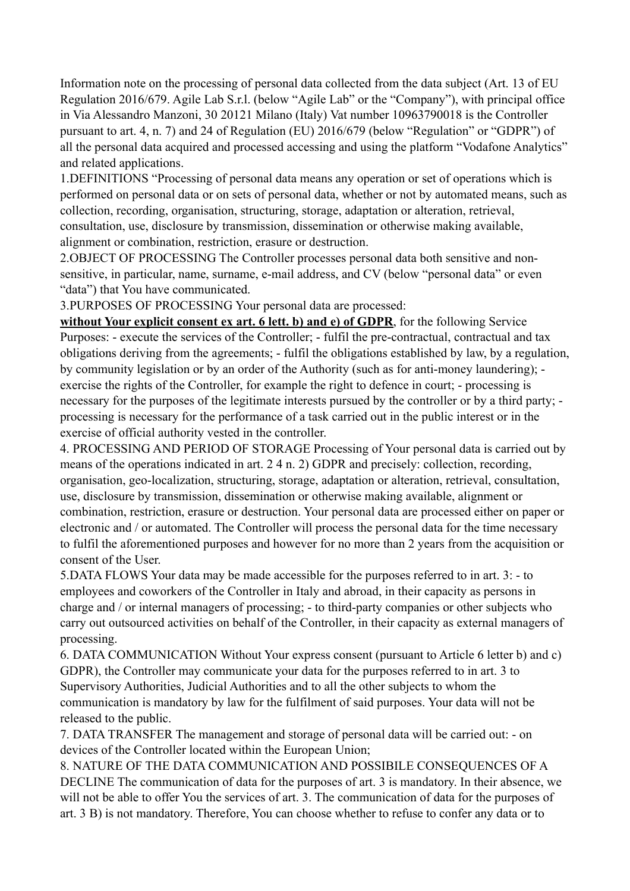Information note on the processing of personal data collected from the data subject (Art. 13 of EU Regulation 2016/679. Agile Lab S.r.l. (below "Agile Lab" or the "Company"), with principal office in Via Alessandro Manzoni, 30 20121 Milano (Italy) Vat number 10963790018 is the Controller pursuant to art. 4, n. 7) and 24 of Regulation (EU) 2016/679 (below "Regulation" or "GDPR") of all the personal data acquired and processed accessing and using the platform "Vodafone Analytics" and related applications.

1.DEFINITIONS "Processing of personal data means any operation or set of operations which is performed on personal data or on sets of personal data, whether or not by automated means, such as collection, recording, organisation, structuring, storage, adaptation or alteration, retrieval, consultation, use, disclosure by transmission, dissemination or otherwise making available, alignment or combination, restriction, erasure or destruction.

2.OBJECT OF PROCESSING The Controller processes personal data both sensitive and nonsensitive, in particular, name, surname, e-mail address, and CV (below "personal data" or even "data") that You have communicated.

3.PURPOSES OF PROCESSING Your personal data are processed:

**without Your explicit consent ex art. 6 lett. b) and e) of GDPR**, for the following Service Purposes: - execute the services of the Controller; - fulfil the pre-contractual, contractual and tax obligations deriving from the agreements; - fulfil the obligations established by law, by a regulation, by community legislation or by an order of the Authority (such as for anti-money laundering); exercise the rights of the Controller, for example the right to defence in court; - processing is necessary for the purposes of the legitimate interests pursued by the controller or by a third party; processing is necessary for the performance of a task carried out in the public interest or in the exercise of official authority vested in the controller.

4. PROCESSING AND PERIOD OF STORAGE Processing of Your personal data is carried out by means of the operations indicated in art. 2 4 n. 2) GDPR and precisely: collection, recording, organisation, geo-localization, structuring, storage, adaptation or alteration, retrieval, consultation, use, disclosure by transmission, dissemination or otherwise making available, alignment or combination, restriction, erasure or destruction. Your personal data are processed either on paper or electronic and / or automated. The Controller will process the personal data for the time necessary to fulfil the aforementioned purposes and however for no more than 2 years from the acquisition or consent of the User.

5.DATA FLOWS Your data may be made accessible for the purposes referred to in art. 3: - to employees and coworkers of the Controller in Italy and abroad, in their capacity as persons in charge and / or internal managers of processing; - to third-party companies or other subjects who carry out outsourced activities on behalf of the Controller, in their capacity as external managers of processing.

6. DATA COMMUNICATION Without Your express consent (pursuant to Article 6 letter b) and c) GDPR), the Controller may communicate your data for the purposes referred to in art. 3 to Supervisory Authorities, Judicial Authorities and to all the other subjects to whom the communication is mandatory by law for the fulfilment of said purposes. Your data will not be released to the public.

7. DATA TRANSFER The management and storage of personal data will be carried out: - on devices of the Controller located within the European Union;

8. NATURE OF THE DATA COMMUNICATION AND POSSIBILE CONSEQUENCES OF A DECLINE The communication of data for the purposes of art. 3 is mandatory. In their absence, we will not be able to offer You the services of art. 3. The communication of data for the purposes of art. 3 B) is not mandatory. Therefore, You can choose whether to refuse to confer any data or to